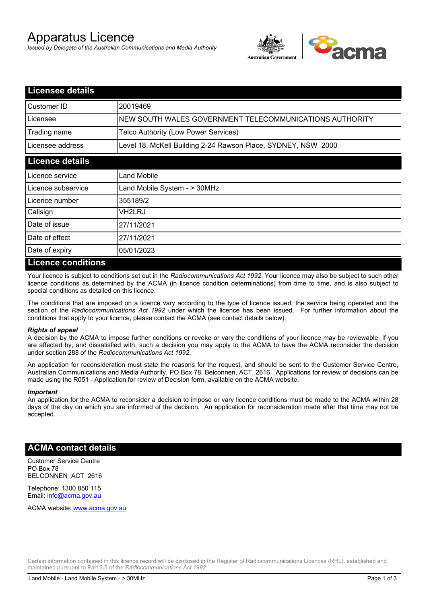# Apparatus Licence

*Issued by Delegate of the Australian Communications and Media Authority*



| <b>Licensee details</b> |                                                               |
|-------------------------|---------------------------------------------------------------|
| Customer ID             | 20019469                                                      |
| Licensee                | NEW SOUTH WALES GOVERNMENT TELECOMMUNICATIONS AUTHORITY       |
| Trading name            | Telco Authority (Low Power Services)                          |
| Licensee address        | Level 18, McKell Building 2-24 Rawson Place, SYDNEY, NSW 2000 |
| <b>Licence details</b>  |                                                               |
| Licence service         | Land Mobile                                                   |
| Licence subservice      | Land Mobile System - > 30MHz                                  |
| Licence number          | 355189/2                                                      |
| Callsign                | VH2LRJ                                                        |
| Date of issue           | 27/11/2021                                                    |
| Date of effect          | 27/11/2021                                                    |
| Date of expiry          | 05/01/2023                                                    |
| Licence conditions      |                                                               |

## **Licence conditions**

Your licence is subject to conditions set out in the *Radiocommunications Act 1992*. Your licence may also be subject to such other licence conditions as determined by the ACMA (in licence condition determinations) from time to time, and is also subject to special conditions as detailed on this licence.

The conditions that are imposed on a licence vary according to the type of licence issued, the service being operated and the section of the *Radiocommunications Act 1992* under which the licence has been issued. For further information about the conditions that apply to your licence, please contact the ACMA (see contact details below).

#### *Rights of appeal*

A decision by the ACMA to impose further conditions or revoke or vary the conditions of your licence may be reviewable. If you are affected by, and dissatisfied with, such a decision you may apply to the ACMA to have the ACMA reconsider the decision under section 288 of the *Radiocommunications Act 1992*.

An application for reconsideration must state the reasons for the request, and should be sent to the Customer Service Centre, Australian Communications and Media Authority, PO Box 78, Belconnen, ACT, 2616. Applications for review of decisions can be made using the R051 - Application for review of Decision form, available on the ACMA website.

#### *Important*

An application for the ACMA to reconsider a decision to impose or vary licence conditions must be made to the ACMA within 28 days of the day on which you are informed of the decision. An application for reconsideration made after that time may not be accepted.

### **ACMA contact details**

Customer Service Centre PO Box 78 BELCONNEN ACT 2616

Telephone: 1300 850 115 Email: info@acma.gov.au

ACMA website: www.acma.gov.au

Certain information contained in this licence record will be disclosed in the Register of Radiocommunications Licences (RRL), established and maintained pursuant to Part 3.5 of the *Radiocommunications Act 1992.*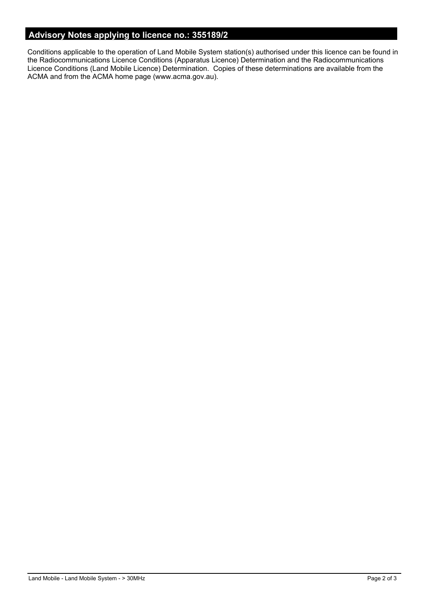## **Advisory Notes applying to licence no.: 355189/2**

Conditions applicable to the operation of Land Mobile System station(s) authorised under this licence can be found in the Radiocommunications Licence Conditions (Apparatus Licence) Determination and the Radiocommunications Licence Conditions (Land Mobile Licence) Determination. Copies of these determinations are available from the ACMA and from the ACMA home page (www.acma.gov.au).